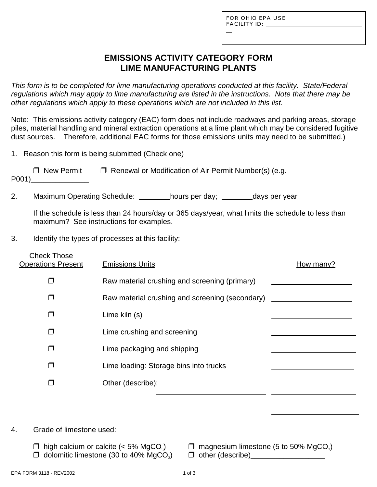L

### **EMISSIONS ACTIVITY CATEGORY FORM LIME MANUFACTURING PLANTS**

*This form is to be completed for lime manufacturing operations conducted at this facility. State/Federal regulations which may apply to lime manufacturing are listed in the instructions. Note that there may be other regulations which apply to these operations which are not included in this list.*

Note: This emissions activity category (EAC) form does not include roadways and parking areas, storage piles, material handling and mineral extraction operations at a lime plant which may be considered fugitive dust sources. Therefore, additional EAC forms for those emissions units may need to be submitted.)

1. Reason this form is being submitted (Check one)

| $\Box$ New Permit | $\Box$ Renewal or Modification of Air Permit Number(s) (e.g. |
|-------------------|--------------------------------------------------------------|
| P001)             |                                                              |

2. Maximum Operating Schedule: \_\_\_\_\_\_\_hours per day; \_\_\_\_\_\_\_days per year

If the schedule is less than 24 hours/day or 365 days/year, what limits the schedule to less than maximum? See instructions for examples.

3. Identify the types of processes at this facility:

| <b>Check Those</b><br><b>Operations Present</b> | <b>Emissions Units</b>                          | How many? |
|-------------------------------------------------|-------------------------------------------------|-----------|
| $\mathbf{L}$                                    | Raw material crushing and screening (primary)   |           |
| П                                               | Raw material crushing and screening (secondary) |           |
| Π                                               | Lime kiln (s)                                   |           |
| ⊓                                               | Lime crushing and screening                     |           |
| J.                                              | Lime packaging and shipping                     |           |
| $\mathbf{L}$                                    | Lime loading: Storage bins into trucks          |           |
|                                                 | Other (describe):                               |           |
|                                                 |                                                 |           |

4. Grade of limestone used:

- $\Box$  high calcium or calcite (< 5% MgCO<sub>3</sub>)  $\Box$  magnesium limestone (5 to 50% MgCO<sub>3</sub>)  $\Box$  do domitic limestone (30 to 40% MgCO<sub>3</sub>)  $\Box$  other (describe)
	- $\Box$  other (describe)  $\Box$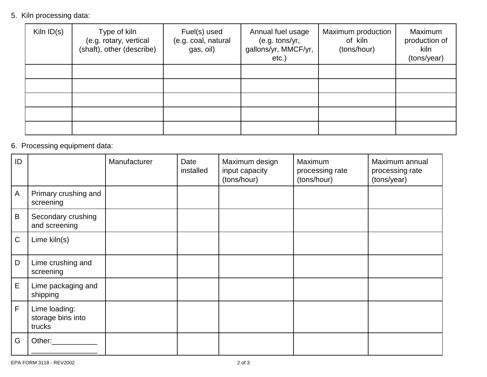5. Kiln processing data:

| Kiln $ID(s)$ | Type of kiln<br>(e.g. rotary, vertical<br>(shaft), other (describe) | Fuel(s) used<br>(e.g. coal, natural<br>gas, oil) | Annual fuel usage<br>(e.g. tons/yr,<br>gallons/yr, MMCF/yr,<br>$etc.$ ) | Maximum production<br>of kiln<br>(tons/hour) | Maximum<br>production of<br>kiln<br>(tons/year) |
|--------------|---------------------------------------------------------------------|--------------------------------------------------|-------------------------------------------------------------------------|----------------------------------------------|-------------------------------------------------|
|              |                                                                     |                                                  |                                                                         |                                              |                                                 |
|              |                                                                     |                                                  |                                                                         |                                              |                                                 |
|              |                                                                     |                                                  |                                                                         |                                              |                                                 |
|              |                                                                     |                                                  |                                                                         |                                              |                                                 |
|              |                                                                     |                                                  |                                                                         |                                              |                                                 |

# 6. Processing equipment data:

| ID           |                                              | Manufacturer | Date<br>installed | Maximum design<br>input capacity<br>(tons/hour) | Maximum<br>processing rate<br>(tons/hour) | Maximum annual<br>processing rate<br>(tons/year) |
|--------------|----------------------------------------------|--------------|-------------------|-------------------------------------------------|-------------------------------------------|--------------------------------------------------|
| $\mathsf{A}$ | Primary crushing and<br>screening            |              |                   |                                                 |                                           |                                                  |
| B            | Secondary crushing<br>and screening          |              |                   |                                                 |                                           |                                                  |
| $\mathsf C$  | Lime kiln(s)                                 |              |                   |                                                 |                                           |                                                  |
| D            | Lime crushing and<br>screening               |              |                   |                                                 |                                           |                                                  |
| E            | Lime packaging and<br>shipping               |              |                   |                                                 |                                           |                                                  |
| $\mathsf F$  | Lime loading:<br>storage bins into<br>trucks |              |                   |                                                 |                                           |                                                  |
| G            | Other:                                       |              |                   |                                                 |                                           |                                                  |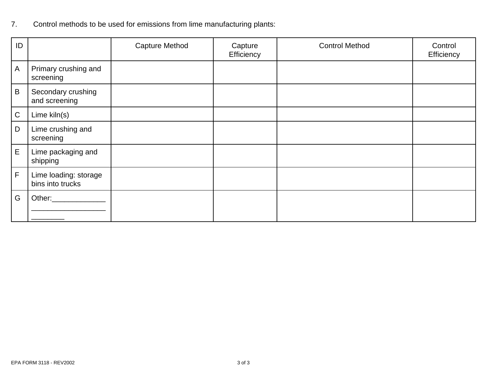# 7. Control methods to be used for emissions from lime manufacturing plants:

| ID             |                                           | <b>Capture Method</b> | Capture<br>Efficiency | <b>Control Method</b> | Control<br>Efficiency |
|----------------|-------------------------------------------|-----------------------|-----------------------|-----------------------|-----------------------|
| $\overline{A}$ | Primary crushing and<br>screening         |                       |                       |                       |                       |
| $\sf B$        | Secondary crushing<br>and screening       |                       |                       |                       |                       |
| $\mathsf C$    | Lime kiln(s)                              |                       |                       |                       |                       |
| D              | Lime crushing and<br>screening            |                       |                       |                       |                       |
| E              | Lime packaging and<br>shipping            |                       |                       |                       |                       |
| F              | Lime loading: storage<br>bins into trucks |                       |                       |                       |                       |
| G              | Other:___________                         |                       |                       |                       |                       |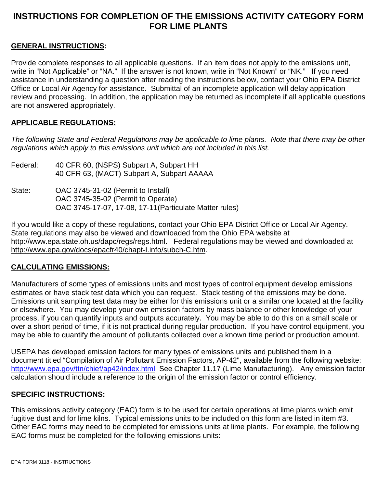## **INSTRUCTIONS FOR COMPLETION OF THE EMISSIONS ACTIVITY CATEGORY FORM FOR LIME PLANTS**

### **GENERAL INSTRUCTIONS:**

Provide complete responses to all applicable questions. If an item does not apply to the emissions unit, write in "Not Applicable" or "NA." If the answer is not known, write in "Not Known" or "NK." If you need assistance in understanding a question after reading the instructions below, contact your Ohio EPA District Office or Local Air Agency for assistance. Submittal of an incomplete application will delay application review and processing. In addition, the application may be returned as incomplete if all applicable questions are not answered appropriately.

#### **APPLICABLE REGULATIONS:**

*The following State and Federal Regulations may be applicable to lime plants. Note that there may be other regulations which apply to this emissions unit which are not included in this list.*

- Federal: 40 CFR 60, (NSPS) Subpart A, Subpart HH 40 CFR 63, (MACT) Subpart A, Subpart AAAAA
- State: OAC 3745-31-02 (Permit to Install) OAC 3745-35-02 (Permit to Operate) OAC 3745-17-07, 17-08, 17-11(Particulate Matter rules)

If you would like a copy of these regulations, contact your Ohio EPA District Office or Local Air Agency. State regulations may also be viewed and downloaded from the Ohio EPA website at http://www.epa.state.oh.us/dapc/regs/regs.html. Federal regulations may be viewed and downloaded at http://www.epa.gov/docs/epacfr40/chapt-I.info/subch-C.htm.

#### **CALCULATING EMISSIONS:**

Manufacturers of some types of emissions units and most types of control equipment develop emissions estimates or have stack test data which you can request. Stack testing of the emissions may be done. Emissions unit sampling test data may be either for this emissions unit or a similar one located at the facility or elsewhere. You may develop your own emission factors by mass balance or other knowledge of your process, if you can quantify inputs and outputs accurately. You may be able to do this on a small scale or over a short period of time, if it is not practical during regular production. If you have control equipment, you may be able to quantify the amount of pollutants collected over a known time period or production amount.

USEPA has developed emission factors for many types of emissions units and published them in a document titled "Compilation of Air Pollutant Emission Factors, AP-42", available from the following website: http://www.epa.gov/ttn/chief/ap42/index.html See Chapter 11.17 (Lime Manufacturing). Any emission factor calculation should include a reference to the origin of the emission factor or control efficiency.

#### **SPECIFIC INSTRUCTIONS:**

This emissions activity category (EAC) form is to be used for certain operations at lime plants which emit fugitive dust and for lime kilns. Typical emissions units to be included on this form are listed in item #3. Other EAC forms may need to be completed for emissions units at lime plants. For example, the following EAC forms must be completed for the following emissions units: